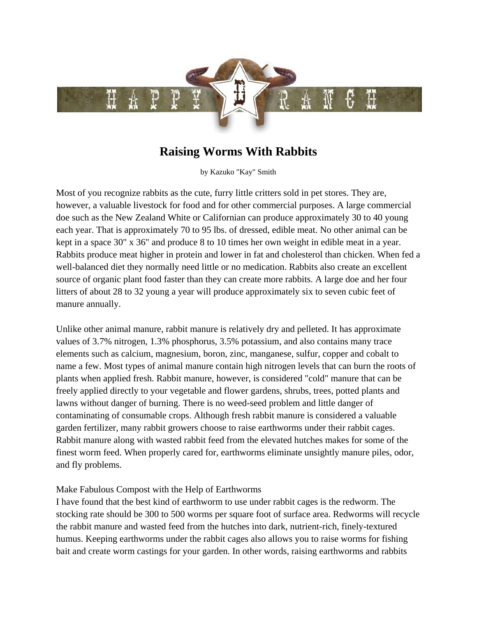

## **Raising Worms With Rabbits**

by Kazuko "Kay" Smith

Rabbits produce meat higher in protein and lower in fat and cholesterol than chicken. When fed a source of organic plant food faster than they can create more rabbits. A large doe and her four litters of about 28 to 32 young a year will produce approximately six to seven cubic feet of manure annually. Most of you recognize rabbits as the cute, furry little critters sold in pet stores. They are, however, a valuable livestock for food and for other commercial purposes. A large commercial doe such as the New Zealand White or Californian can produce approximately 30 to 40 young each year. That is approximately 70 to 95 lbs. of dressed, edible meat. No other animal can be kept in a space 30" x 36" and produce 8 to 10 times her own weight in edible meat in a year. well-balanced diet they normally need little or no medication. Rabbits also create an excellent

Unlike other animal manure, rabbit manure is relatively dry and pelleted. It has approximate name a few. Most types of animal manure contain high nitrogen levels that can burn the roots of freely applied directly to your vegetable and flower gardens, shrubs, trees, potted plants and finest worm feed. When properly cared for, earthworms eliminate unsightly manure piles, odor, and fly problems. values of 3.7% nitrogen, 1.3% phosphorus, 3.5% potassium, and also contains many trace elements such as calcium, magnesium, boron, zinc, manganese, sulfur, copper and cobalt to plants when applied fresh. Rabbit manure, however, is considered "cold" manure that can be lawns without danger of burning. There is no weed-seed problem and little danger of contaminating of consumable crops. Although fresh rabbit manure is considered a valuable garden fertilizer, many rabbit growers choose to raise earthworms under their rabbit cages. Rabbit manure along with wasted rabbit feed from the elevated hutches makes for some of the

## Make Fabulous Compost with the Help of Earthworms

stocking rate should be 300 to 500 worms per square foot of surface area. Redworms will recycle bait and create worm castings for your garden. In other words, raising earthworms and rabbits I have found that the best kind of earthworm to use under rabbit cages is the redworm. The the rabbit manure and wasted feed from the hutches into dark, nutrient-rich, finely-textured humus. Keeping earthworms under the rabbit cages also allows you to raise worms for fishing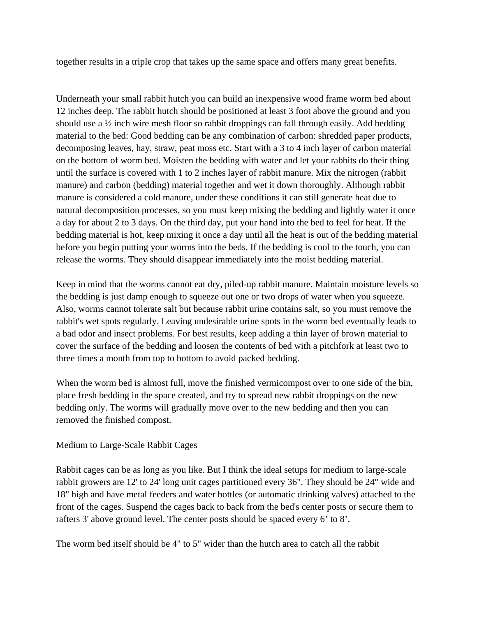to gether results in a triple crop that takes up the same space and offers many great benefits.

Underneath your small rabbit hutch you can build an inexpensive wood frame worm bed about 12 inches deep. The rabbit hutch should be positioned at least 3 foot above the ground and you should use a ½ inch wire mesh floor so rabbit droppings can fall through easily. Add bedding material to the bed: Good bedding can be any combination of carbon: shredded paper products, decomposing leaves, hay, straw, peat moss etc. Start with a 3 to 4 inch layer of carbon material on the bottom of worm bed. Moisten the bedding with water and let your rabbits do their thing until the surface is covered with 1 to 2 inches layer of rabbit manure. Mix the nitrogen (rabbit manure) and carbon (bedding) material together and wet it down thoroughly. Although rabb it manure is considered a cold manure, under these conditions it can still generate heat due to natural decomposition processes, so you must keep mixing the bedding and lightly water it onc e a day for about 2 to 3 days. On the third day, put your hand into the bed to feel for heat. If the bedding material is hot, keep mixing it once a day until all the heat is out of the bedding materia l before you begin putting your worms into the beds. If the bedding is cool to the touch, yo u can re lease the worms. They should disappear immediately into the moist bedding material.

Keep in mind that the worms cannot eat dry, piled-up rabbit manure. Maintain moisture levels so the bedding is just damp enough to squeeze out one or two drops of water when you squeeze. Also, worms cannot tolerate salt but because rabbit urine contains salt, so you must remove the rabbit's wet spots regularly. Leaving undesirable urine spots in the worm bed eventually leads t o a bad odor and insect problems. For best results, keep adding a thin layer of brown material to cover the surface of the bedding and loosen the contents of bed wit h a pitchfork at least two to th ree times a month from top to bottom to avoid packed bedding.

When the worm bed is almost full, move the finished vermicompost over to one side of the bin, place fresh bedding in the space created, and try to spread new rabbit droppings on the new bedding only. The worms will g radually move over to the new bedding and then you can re moved the finished compost.

## M edium to Large-Scale Rabbit Cages

Rabbit cages can be as long as you like. But I think the ideal setups for medium to large-scale rabbit growers are 12' to 24' long unit cages partitioned every 36". They should be 24" wide and 18" high and have metal feeders and water bottles (or automatic drinking valves) attached to the front of the cages. Suspend the cages back to back from the bed's center posts or secure them to ra fters 3' above ground level. The center posts should be spaced every 6' to 8'.

The worm bed itself should be 4" to 5" wider than the hutch area to catch all the rabbit